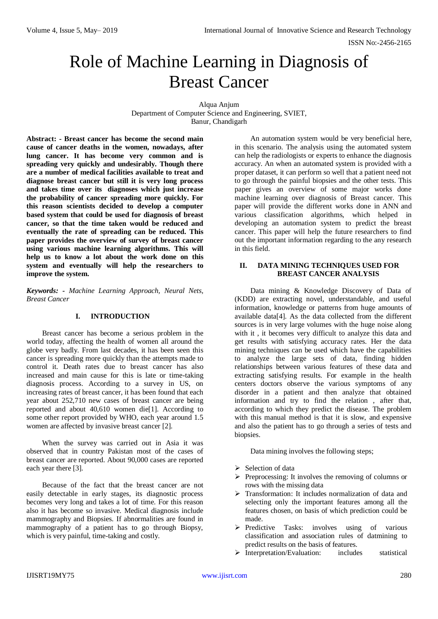# Role of Machine Learning in Diagnosis of Breast Cancer

Alqua Anjum Department of Computer Science and Engineering, SVIET, Banur, Chandigarh

**Abstract: - Breast cancer has become the second main cause of cancer deaths in the women, nowadays, after lung cancer. It has become very common and is spreading very quickly and undesirably. Though there are a number of medical facilities available to treat and diagnose breast cancer but still it is very long process and takes time over its diagnoses which just increase the probability of cancer spreading more quickly. For this reason scientists decided to develop a computer based system that could be used for diagnosis of breast cancer, so that the time taken would be reduced and eventually the rate of spreading can be reduced. This paper provides the overview of survey of breast cancer using various machine learning algorithms. This will help us to know a lot about the work done on this system and eventually will help the researchers to improve the system.**

*Keywords: - Machine Learning Approach, Neural Nets, Breast Cancer*

## **I. INTRODUCTION**

Breast cancer has become a serious problem in the world today, affecting the health of women all around the globe very badly. From last decades, it has been seen this cancer is spreading more quickly than the attempts made to control it. Death rates due to breast cancer has also increased and main cause for this is late or time-taking diagnosis process. According to a survey in US, on increasing rates of breast cancer, it has been found that each year about 252,710 new cases of breast cancer are being reported and about 40,610 women die[1]. According to some other report provided by WHO, each year around 1.5 women are affected by invasive breast cancer [2].

When the survey was carried out in Asia it was observed that in country Pakistan most of the cases of breast cancer are reported. About 90,000 cases are reported each year there [3].

Because of the fact that the breast cancer are not easily detectable in early stages, its diagnostic process becomes very long and takes a lot of time. For this reason also it has become so invasive. Medical diagnosis include mammography and Biopsies. If abnormalities are found in mammography of a patient has to go through Biopsy, which is very painful, time-taking and costly.

An automation system would be very beneficial here, in this scenario. The analysis using the automated system can help the radiologists or experts to enhance the diagnosis accuracy. An when an automated system is provided with a proper dataset, it can perform so well that a patient need not to go through the painful biopsies and the other tests. This paper gives an overview of some major works done machine learning over diagnosis of Breast cancer. This paper will provide the different works done in ANN and various classification algorithms, which helped in developing an automation system to predict the breast cancer. This paper will help the future researchers to find out the important information regarding to the any research in this field.

## **II. DATA MINING TECHNIQUES USED FOR BREAST CANCER ANALYSIS**

Data mining & Knowledge Discovery of Data of (KDD) are extracting novel, understandable, and useful information, knowledge or patterns from huge amounts of available data[4]. As the data collected from the different sources is in very large volumes with the huge noise along with it , it becomes very difficult to analyze this data and get results with satisfying accuracy rates. Her the data mining techniques can be used which have the capabilities to analyze the large sets of data, finding hidden relationships between various features of these data and extracting satisfying results. For example in the health centers doctors observe the various symptoms of any disorder in a patient and then analyze that obtained information and try to find the relation , after that, according to which they predict the disease. The problem with this manual method is that it is slow, and expensive and also the patient has to go through a series of tests and biopsies.

Data mining involves the following steps;

- $\triangleright$  Selection of data
- $\triangleright$  Preprocessing: It involves the removing of columns or rows with the missing data
- Transformation: It includes normalization of data and selecting only the important features among all the features chosen, on basis of which prediction could be made.
- $\triangleright$  Predictive Tasks: involves using of various classification and association rules of datmining to predict results on the basis of features.
- > Interpretation/Evaluation: includes statistical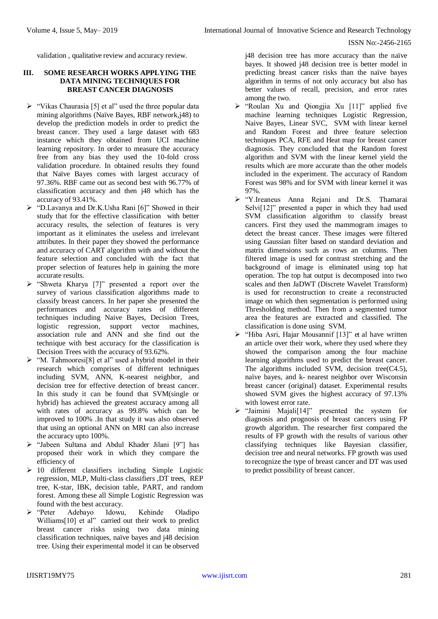validation , qualitative review and accuracy review.

# **III. SOME RESEARCH WORKS APPLYING THE DATA MINING TECHNIQUES FOR BREAST CANCER DIAGNOSIS**

- $\triangleright$  "Vikas Chaurasia [5] et al" used the three popular data mining algorithms (Naïve Bayes, RBF network,j48) to develop the prediction models in order to predict the breast cancer. They used a large dataset with 683 instance which they obtained from UCI machine learning repository. In order to measure the accuracy free from any bias they used the 10-fold cross validation procedure. In obtained results they found that Naïve Bayes comes with largest accuracy of 97.36%. RBF came out as second best with 96.77% of classification accuracy and then j48 which has the accuracy of 93.41%.
- $\triangleright$  "D.Lavanya and Dr.K.Usha Rani [6]" Showed in their study that for the effective classification with better accuracy results, the selection of features is very important as it eliminates the useless and irrelevant attributes. In their paper they showed the performance and accuracy of CART algorithm with and without the feature selection and concluded with the fact that proper selection of features help in gaining the more accurate results.
- "Shweta Kharya [7]" presented a report over the survey of various classification algorithms made to classify breast cancers. In her paper she presented the performances and accuracy rates of different techniques including Naive Bayes, Decision Trees, logistic regression, support vector machines, association rule and ANN and she find out the technique with best accuracy for the classification is Decision Trees with the accuracy of 93.62%.
- $\triangleright$  "M. Tahmooresi<sup>[8]</sup> et al" used a hybrid model in their research which comprises of different techniques including SVM, ANN, K-nearest neighbor, and decision tree for effective detection of breast cancer. In this study it can be found that SVM(single or hybrid) has achieved the greatest accuracy among all with rates of accuracy as 99.8% which can be improved to 100% .In that study it was also observed that using an optional ANN on MRI can also increase the accuracy upto 100%.
- > "Jabeen Sultana and Abdul Khader Jilani [9"] has proposed their work in which they compare the efficiency of
- $\geq 10$  different classifiers including Simple Logistic regression, MLP, Multi-class classifiers ,DT trees, REP tree, K-star, IBK, decision table, PART, and random forest. Among these all Simple Logistic Regression was found with the best accuracy.
- "Peter Adebayo Idowu, Kehinde Oladipo Williams<sup>[10]</sup> et al" carried out their work to predict breast cancer risks using two data mining classification techniques, naïve bayes and j48 decision tree. Using their experimental model it can be observed

j48 decision tree has more accuracy than the naïve bayes. It showed j48 decision tree is better model in predicting breast cancer risks than the naïve bayes algorithm in terms of not only accuracy but also has better values of recall, precision, and error rates among the two.

- "Roulan Xu and Qiongjia Xu [11]" applied five machine learning techniques Logistic Regression, Naive Bayes, Linear SVC, SVM with linear kernel and Random Forest and three feature selection techniques PCA, RFE and Heat map for breast cancer diagnosis. They concluded that the Random forest algorithm and SVM with the linear kernel yield the results which are more accurate than the other models included in the experiment. The accuracy of Random Forest was 98% and for SVM with linear kernel it was 97%.
- "Y.Ireaneus Anna Rejani and Dr.S. Thamarai Selvi[12]" presented a paper in which they had used SVM classification algorithm to classify breast cancers. First they used the mammogram images to detect the breast cancer. These images were filtered using Gaussian filter based on standard deviation and matrix dimensions such as rows an columns. Then filtered image is used for contrast stretching and the background of image is eliminated using top hat operation. The top hat output is decomposed into two scales and then JaDWT (Discrete Wavelet Transform) is used for reconstruction to create a reconstructed image on which then segmentation is performed using Thresholding method. Then from a segmented tumor area the features are extracted and classified. The classification is done using SVM.
- > "Hiba Asri, Hajar Mousannif [13]" et al have written an article over their work, where they used where they showed the comparison among the four machine learning algorithms used to predict the breast cancer. The algorithms included SVM, decision tree(C4.5), naïve bayes, and k- nearest neighbor over Wisconsin breast cancer (original) dataset. Experimental results showed SVM gives the highest accuracy of 97.13% with lowest error rate.
- $\triangleright$  "Jaimini Majali<sup>[14]"</sup> presented the system for diagnosis and prognosis of breast cancers using FP growth algorithm. The researcher first compared the results of FP growth with the results of various other classifying techniques like Bayesian classifier, decision tree and neural networks. FP growth was used to recognize the type of breast cancer and DT was used to predict possibility of breast cancer.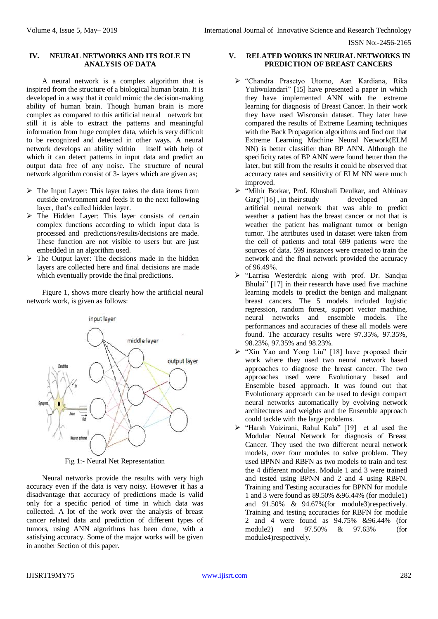ISSN No:-2456-2165

## **IV. NEURAL NETWORKS AND ITS ROLE IN ANALYSIS OF DATA**

A neural network is a complex algorithm that is inspired from the structure of a biological human brain. It is developed in a way that it could mimic the decision-making ability of human brain. Though human brain is more complex as compared to this artificial neural network but still it is able to extract the patterns and meaningful information from huge complex data, which is very difficult to be recognized and detected in other ways. A neural network develops an ability within itself with help of which it can detect patterns in input data and predict an output data free of any noise. The structure of neural network algorithm consist of 3- layers which are given as;

- $\triangleright$  The Input Layer: This layer takes the data items from outside environment and feeds it to the next following layer, that's called hidden layer.
- $\triangleright$  The Hidden Layer: This layer consists of certain complex functions according to which input data is processed and predictions/results/decisions are made. These function are not visible to users but are just embedded in an algorithm used.
- $\triangleright$  The Output layer: The decisions made in the hidden layers are collected here and final decisions are made which eventually provide the final predictions.

Figure 1, shows more clearly how the artificial neural network work, is given as follows:



Fig 1:- Neural Net Representation

Neural networks provide the results with very high accuracy even if the data is very noisy. However it has a disadvantage that accuracy of predictions made is valid only for a specific period of time in which data was collected. A lot of the work over the analysis of breast cancer related data and prediction of different types of tumors, using ANN algorithms has been done, with a satisfying accuracy. Some of the major works will be given in another Section of this paper.

#### **V. RELATED WORKS IN NEURAL NETWORKS IN PREDICTION OF BREAST CANCERS**

- "Chandra Prasetyo Utomo, Aan Kardiana, Rika Yuliwulandari" [15] have presented a paper in which they have implemented ANN with the extreme learning for diagnosis of Breast Cancer. In their work they have used Wisconsin dataset. They later have compared the results of Extreme Learning techniques with the Back Propagation algorithms and find out that Extreme Learning Machine Neural Network(ELM NN) is better classifier than BP ANN. Although the specificity rates of BP ANN were found better than the later, but still from the results it could be observed that accuracy rates and sensitivity of ELM NN were much improved.
- "Mihir Borkar, Prof. Khushali Deulkar, and Abhinav Garg"[16], in their study developed an artificial neural network that was able to predict weather a patient has the breast cancer or not that is weather the patient has malignant tumor or benign tumor. The attributes used in dataset were taken from the cell of patients and total 699 patients were the sources of data. 599 instances were created to train the network and the final network provided the accuracy of 96.49%.
- "Larrisa Westerdijk along with prof. Dr. Sandjai Bhulai" [17] in their research have used five machine learning models to predict the benign and malignant breast cancers. The 5 models included logistic regression, random forest, support vector machine, neural networks and ensemble models. The performances and accuracies of these all models were found. The accuracy results were 97.35%, 97.35%, 98.23%, 97.35% and 98.23%.
- $\triangleright$  "Xin Yao and Yong Liu" [18] have proposed their work where they used two neural network based approaches to diagnose the breast cancer. The two approaches used were Evolutionary based and Ensemble based approach. It was found out that Evolutionary approach can be used to design compact neural networks automatically by evolving network architectures and weights and the Ensemble approach could tackle with the large problems.
- "Harsh Vaizirani, Rahul Kala" [19] et al used the Modular Neural Network for diagnosis of Breast Cancer. They used the two different neural network models, over four modules to solve problem. They used BPNN and RBFN as two models to train and test the 4 different modules. Module 1 and 3 were trained and tested using BPNN and 2 and 4 using RBFN. Training and Testing accuracies for BPNN for module 1 and 3 were found as 89.50% &96.44% (for module1) and 91.50% & 94.67%(for module3)respectively. Training and testing accuracies for RBFN for module 2 and 4 were found as 94.75% &96.44% (for module2) and 97.50% & 97.63% (for module4)respectively.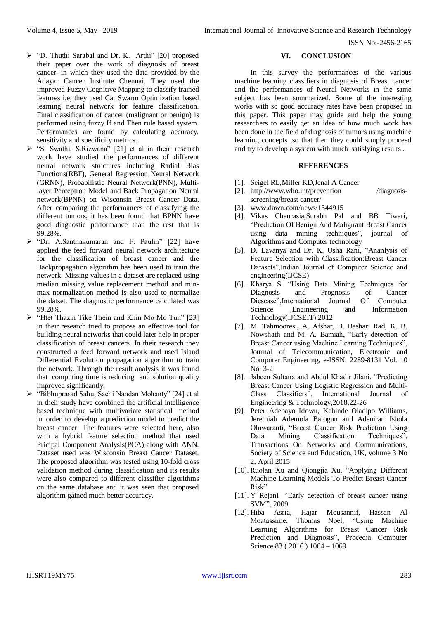- $\triangleright$  "D. Thuthi Sarabal and Dr. K. Arthi" [20] proposed their paper over the work of diagnosis of breast cancer, in which they used the data provided by the Adayar Cancer Institute Chennai. They used the improved Fuzzy Cognitive Mapping to classify trained features i.e; they used Cat Swarm Optimization based learning neural network for feature classification. Final classification of cancer (malignant or benign) is performed using fuzzy If and Then rule based system. Performances are found by calculating accuracy, sensitivity and specificity metrics.
- "S. Swathi, S.Rizwana" [21] et al in their research work have studied the performances of different neural network structures including Radial Bias Functions(RBF), General Regression Neural Network (GRNN), Probabilistic Neural Network(PNN), Multilayer Perceptron Model and Back Propagation Neural network(BPNN) on Wisconsin Breast Cancer Data. After comparing the performances of classifying the different tumors, it has been found that BPNN have good diagnostic performance than the rest that is 99.28%.
- $\triangleright$  "Dr. A.Santhakumaran and F. Paulin" [22] have applied the feed forward neural network architecture for the classification of breast cancer and the Backpropagation algorithm has been used to train the network. Missing values in a dataset are replaced using median missing value replacement method and minmax normalization method is also used to normalize the datset. The diagnostic performance calculated was 99.28%.
- $\triangleright$  "Htet Thazin Tike Thein and Khin Mo Mo Tun" [23] in their research tried to propose an effective tool for building neural networks that could later help in proper classification of breast cancers. In their research they constructed a feed forward network and used Island Differential Evolution propagation algorithm to train the network. Through the result analysis it was found that computing time is reducing and solution quality improved significantly.
- > "Bibhuprasad Sahu, Sachi Nandan Mohanty" [24] et al in their study have combined the artificial intelligence based technique with multivariate statistical method in order to develop a prediction model to predict the breast cancer. The features were selected here, also with a hybrid feature selection method that used Pricipal Component Analysis(PCA) along with ANN. Dataset used was Wisconsin Breast Cancer Dataset. The proposed algorithm was tested using 10-fold cross validation method during classification and its results were also compared to different classifier algorithms on the same database and it was seen that proposed algorithm gained much better accuracy.

# **VI. CONCLUSION**

In this survey the performances of the various machine learning classifiers in diagnosis of Breast cancer and the performances of Neural Networks in the same subject has been summarized. Some of the interesting works with so good accuracy rates have been proposed in this paper. This paper may guide and help the young researchers to easily get an idea of how much work has been done in the field of diagnosis of tumors using machine learning concepts ,so that then they could simply proceed and try to develop a system with much satisfying results .

# **REFERENCES**

- [1]. Seigel RL,Miller KD,Jenal A Cancer
- [2]. [http://www.who.int/prevention /diagnosis](http://www.who.int/prevention%20/diagnosis-)[screening/breast](http://www.who.int/prevention/diagnosis-screening/breast%20cancer/) cancer/
- [3]. [www.dawn.com/news/1344915](http://www.dawn.com/news/1344915)
- [4]. Vikas Chaurasia,Surabh Pal and BB Tiwari, "Prediction Of Benign And Malignant Breast Cancer using data mining techniques", journal of Algorithms and Computer technology
- [5]. D. Lavanya and Dr. K. Usha Rani, "Ananlysis of Feature Selection with Classification:Breast Cancer Datasets",Indian Journal of Computer Science and engineering(IJCSE)
- [6]. Kharya S. "Using Data Mining Techniques for Diagnosis and Prognosis of Cancer Diesease",International Journal Of Computer Science ,Engineering and Information Technology(IJCSEIT) 2012
- [7]. M. Tahmooresi, A. Afshar, B. Bashari Rad, K. B. Nowshath and M. A. Bamiah, "Early detection of Breast Cancer using Machine Learning Techniques", Journal of Telecommunication, Electronic and Computer Engineering, e-ISSN: 2289-8131 Vol. 10 No. 3-2
- [8]. Jabeen Sultana and Abdul Khadir Jilani, "Predicting Breast Cancer Using Logistic Regression and Multi-Class Classifiers", International Journal of Engineering & Technology,2018,22-26
- [9]. Peter Adebayo Idowu, Kehinde Oladipo Williams, Jeremiah Ademola Balogun and Adeniran Ishola Oluwaranti, "Breast Cancer Risk Prediction Using Data Mining Classification Techniques", Transactions On Networks and Communications, Society of Science and Education, UK, volume 3 No 2, April 2015
- [10]. Ruolan Xu and Qiongjia Xu, "Applying Different Machine Learning Models To Predict Breast Cancer Risk"
- [11]. Y Rejani- "Early detection of breast cancer using SVM", 2009
- [12]. Hiba Asria, Hajar Mousannif, Hassan Al Moatassime, Thomas Noel, "Using Machine Learning Algorithms for Breast Cancer Risk Prediction and Diagnosis", Procedia Computer Science 83 ( 2016 ) 1064 – 1069